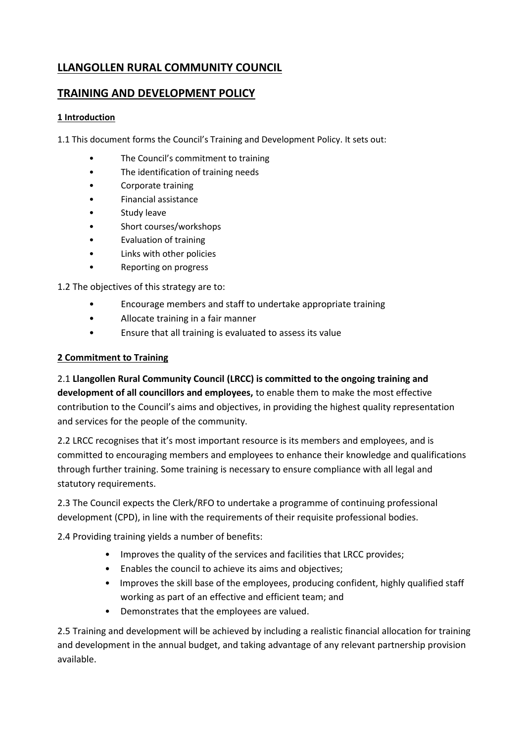# **LLANGOLLEN RURAL COMMUNITY COUNCIL**

# **TRAINING AND DEVELOPMENT POLICY**

### **1 Introduction**

1.1 This document forms the Council's Training and Development Policy. It sets out:

- The Council's commitment to training
- The identification of training needs
- Corporate training
- Financial assistance
- Study leave
- Short courses/workshops
- Evaluation of training
- Links with other policies
- Reporting on progress

1.2 The objectives of this strategy are to:

- Encourage members and staff to undertake appropriate training
- Allocate training in a fair manner
- Ensure that all training is evaluated to assess its value

### **2 Commitment to Training**

2.1 **Llangollen Rural Community Council (LRCC) is committed to the ongoing training and development of all councillors and employees,** to enable them to make the most effective contribution to the Council's aims and objectives, in providing the highest quality representation and services for the people of the community.

2.2 LRCC recognises that it's most important resource is its members and employees, and is committed to encouraging members and employees to enhance their knowledge and qualifications through further training. Some training is necessary to ensure compliance with all legal and statutory requirements.

2.3 The Council expects the Clerk/RFO to undertake a programme of continuing professional development (CPD), in line with the requirements of their requisite professional bodies.

2.4 Providing training yields a number of benefits:

- Improves the quality of the services and facilities that LRCC provides;
- Enables the council to achieve its aims and objectives;
- Improves the skill base of the employees, producing confident, highly qualified staff working as part of an effective and efficient team; and
- Demonstrates that the employees are valued.

2.5 Training and development will be achieved by including a realistic financial allocation for training and development in the annual budget, and taking advantage of any relevant partnership provision available.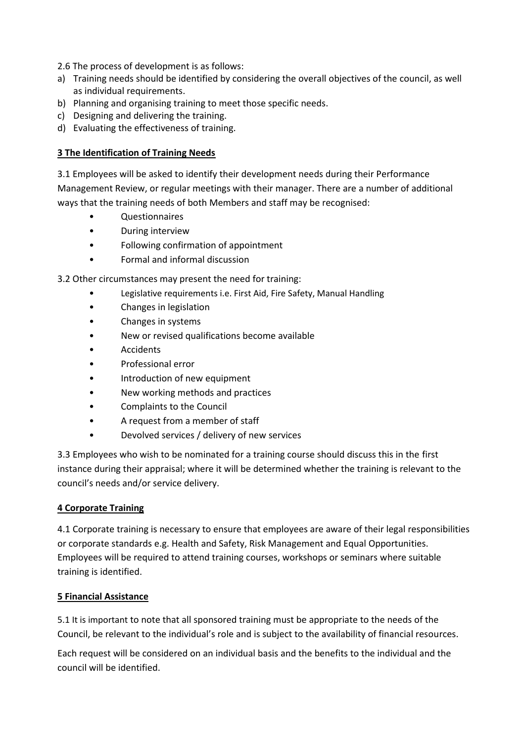2.6 The process of development is as follows:

- a) Training needs should be identified by considering the overall objectives of the council, as well as individual requirements.
- b) Planning and organising training to meet those specific needs.
- c) Designing and delivering the training.
- d) Evaluating the effectiveness of training.

### **3 The Identification of Training Needs**

3.1 Employees will be asked to identify their development needs during their Performance Management Review, or regular meetings with their manager. There are a number of additional ways that the training needs of both Members and staff may be recognised:

- Questionnaires
- During interview
- Following confirmation of appointment
- Formal and informal discussion

3.2 Other circumstances may present the need for training:

- Legislative requirements i.e. First Aid, Fire Safety, Manual Handling
- Changes in legislation
- Changes in systems
- New or revised qualifications become available
- Accidents
- Professional error
- Introduction of new equipment
- New working methods and practices
- Complaints to the Council
- A request from a member of staff
- Devolved services / delivery of new services

3.3 Employees who wish to be nominated for a training course should discuss this in the first instance during their appraisal; where it will be determined whether the training is relevant to the council's needs and/or service delivery.

#### **4 Corporate Training**

4.1 Corporate training is necessary to ensure that employees are aware of their legal responsibilities or corporate standards e.g. Health and Safety, Risk Management and Equal Opportunities. Employees will be required to attend training courses, workshops or seminars where suitable training is identified.

#### **5 Financial Assistance**

5.1 It is important to note that all sponsored training must be appropriate to the needs of the Council, be relevant to the individual's role and is subject to the availability of financial resources.

Each request will be considered on an individual basis and the benefits to the individual and the council will be identified.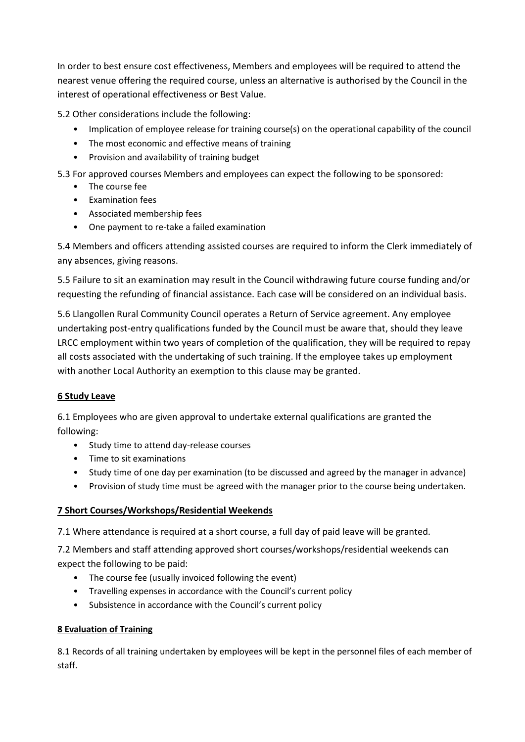In order to best ensure cost effectiveness, Members and employees will be required to attend the nearest venue offering the required course, unless an alternative is authorised by the Council in the interest of operational effectiveness or Best Value.

5.2 Other considerations include the following:

- Implication of employee release for training course(s) on the operational capability of the council
- The most economic and effective means of training
- Provision and availability of training budget

5.3 For approved courses Members and employees can expect the following to be sponsored:

- The course fee
- Examination fees
- Associated membership fees
- One payment to re-take a failed examination

5.4 Members and officers attending assisted courses are required to inform the Clerk immediately of any absences, giving reasons.

5.5 Failure to sit an examination may result in the Council withdrawing future course funding and/or requesting the refunding of financial assistance. Each case will be considered on an individual basis.

5.6 Llangollen Rural Community Council operates a Return of Service agreement. Any employee undertaking post-entry qualifications funded by the Council must be aware that, should they leave LRCC employment within two years of completion of the qualification, they will be required to repay all costs associated with the undertaking of such training. If the employee takes up employment with another Local Authority an exemption to this clause may be granted.

## **6 Study Leave**

6.1 Employees who are given approval to undertake external qualifications are granted the following:

- Study time to attend day-release courses
- Time to sit examinations
- Study time of one day per examination (to be discussed and agreed by the manager in advance)
- Provision of study time must be agreed with the manager prior to the course being undertaken.

## **7 Short Courses/Workshops/Residential Weekends**

7.1 Where attendance is required at a short course, a full day of paid leave will be granted.

7.2 Members and staff attending approved short courses/workshops/residential weekends can expect the following to be paid:

- The course fee (usually invoiced following the event)
- Travelling expenses in accordance with the Council's current policy
- Subsistence in accordance with the Council's current policy

## **8 Evaluation of Training**

8.1 Records of all training undertaken by employees will be kept in the personnel files of each member of staff.